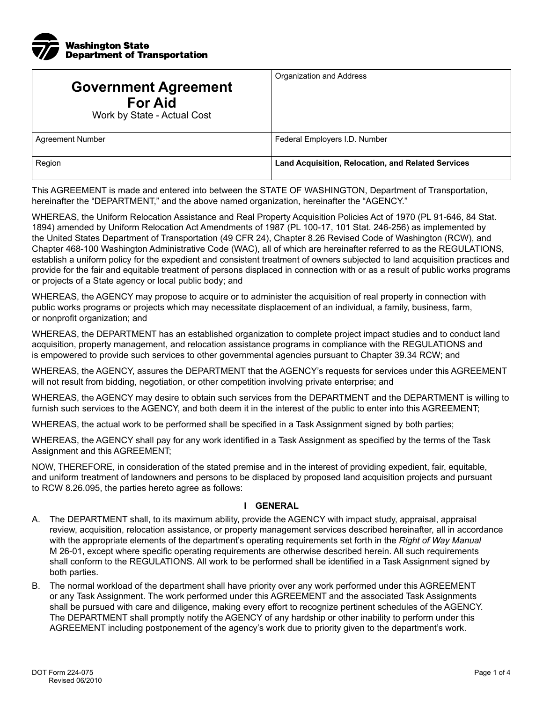

| <b>Government Agreement</b><br><b>For Aid</b><br>Work by State - Actual Cost | Organization and Address                           |
|------------------------------------------------------------------------------|----------------------------------------------------|
| <b>Agreement Number</b>                                                      | Federal Employers I.D. Number                      |
| Region                                                                       | Land Acquisition, Relocation, and Related Services |

This AGREEMENT is made and entered into between the STATE OF WASHINGTON, Department of Transportation, hereinafter the "DEPARTMENT," and the above named organization, hereinafter the "AGENCY."

WHEREAS, the Uniform Relocation Assistance and Real Property Acquisition Policies Act of 1970 (PL 91-646, 84 Stat. 1894) amended by Uniform Relocation Act Amendments of 1987 (PL 100-17, 101 Stat. 246-256) as implemented by the United States Department of Transportation (49 CFR 24), Chapter 8.26 Revised Code of Washington (RCW), and Chapter 468-100 Washington Administrative Code (WAC), all of which are hereinafter referred to as the REGULATIONS, establish a uniform policy for the expedient and consistent treatment of owners subjected to land acquisition practices and provide for the fair and equitable treatment of persons displaced in connection with or as a result of public works programs or projects of a State agency or local public body; and

WHEREAS, the AGENCY may propose to acquire or to administer the acquisition of real property in connection with public works programs or projects which may necessitate displacement of an individual, a family, business, farm, or nonprofit organization; and

WHEREAS, the DEPARTMENT has an established organization to complete project impact studies and to conduct land acquisition, property management, and relocation assistance programs in compliance with the REGULATIONS and is empowered to provide such services to other governmental agencies pursuant to Chapter 39.34 RCW; and

WHEREAS, the AGENCY, assures the DEPARTMENT that the AGENCY's requests for services under this AGREEMENT will not result from bidding, negotiation, or other competition involving private enterprise; and

WHEREAS, the AGENCY may desire to obtain such services from the DEPARTMENT and the DEPARTMENT is willing to furnish such services to the AGENCY, and both deem it in the interest of the public to enter into this AGREEMENT;

WHEREAS, the actual work to be performed shall be specified in a Task Assignment signed by both parties;

WHEREAS, the AGENCY shall pay for any work identified in a Task Assignment as specified by the terms of the Task Assignment and this AGREEMENT;

NOW, THEREFORE, in consideration of the stated premise and in the interest of providing expedient, fair, equitable, and uniform treatment of landowners and persons to be displaced by proposed land acquisition projects and pursuant to RCW 8.26.095, the parties hereto agree as follows:

#### **I GENERAL**

- A. The DEPARTMENT shall, to its maximum ability, provide the AGENCY with impact study, appraisal, appraisal review, acquisition, relocation assistance, or property management services described hereinafter, all in accordance with the appropriate elements of the department's operating requirements set forth in the *Right of Way Manual*  M 26-01, except where specific operating requirements are otherwise described herein. All such requirements shall conform to the REGULATIONS. All work to be performed shall be identified in a Task Assignment signed by both parties.
- B. The normal workload of the department shall have priority over any work performed under this AGREEMENT or any Task Assignment. The work performed under this AGREEMENT and the associated Task Assignments shall be pursued with care and diligence, making every effort to recognize pertinent schedules of the AGENCY. The DEPARTMENT shall promptly notify the AGENCY of any hardship or other inability to perform under this AGREEMENT including postponement of the agency's work due to priority given to the department's work.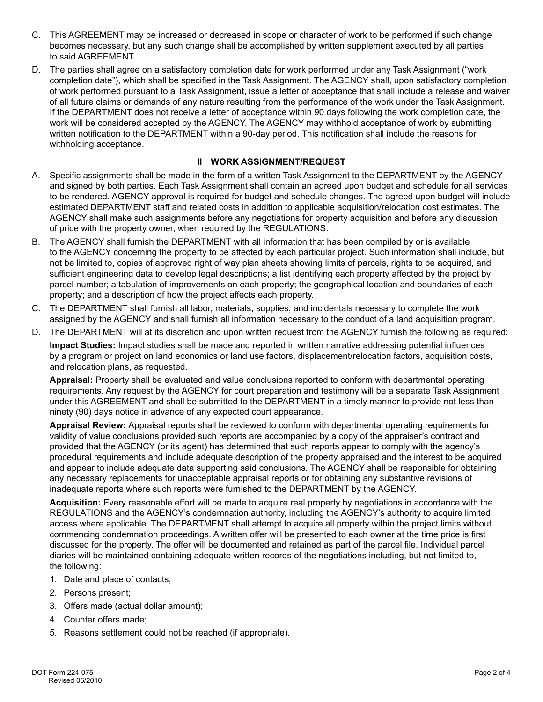- C. This AGREEMENT may be increased or decreased in scope or character of work to be performed if such change becomes necessary, but any such change shall be accomplished by written supplement executed by all parties to said AGREEMENT.
- D. The parties shall agree on a satisfactory completion date for work performed under any Task Assignment ("work completion date"), which shall be specified in the Task Assignment. The AGENCY shall, upon satisfactory completion of work performed pursuant to a Task Assignment, issue a letter of acceptance that shall include a release and waiver of all future claims or demands of any nature resulting from the performance of the work under the Task Assignment. If the DEPARTMENT does not receive a letter of acceptance within 90 days following the work completion date, the work will be considered accepted by the AGENCY. The AGENCY may withhold acceptance of work by submitting written notification to the DEPARTMENT within a 90-day period. This notification shall include the reasons for withholding acceptance.

## **II WORK ASSIGNMENT/REQUEST**

- A. Specific assignments shall be made in the form of a written Task Assignment to the DEPARTMENT by the AGENCY and signed by both parties. Each Task Assignment shall contain an agreed upon budget and schedule for all services to be rendered. AGENCY approval is required for budget and schedule changes. The agreed upon budget will include estimated DEPARTMENT staff and related costs in addition to applicable acquisition/relocation cost estimates. The AGENCY shall make such assignments before any negotiations for property acquisition and before any discussion of price with the property owner, when required by the REGULATIONS.
- B. The AGENCY shall furnish the DEPARTMENT with all information that has been compiled by or is available to the AGENCY concerning the property to be affected by each particular project. Such information shall include, but not be limited to, copies of approved right of way plan sheets showing limits of parcels, rights to be acquired, and sufficient engineering data to develop legal descriptions; a list identifying each property affected by the project by parcel number; a tabulation of improvements on each property; the geographical location and boundaries of each property; and a description of how the project affects each property.
- C. The DEPARTMENT shall furnish all labor, materials, supplies, and incidentals necessary to complete the work assigned by the AGENCY and shall furnish all information necessary to the conduct of a land acquisition program.
- D. The DEPARTMENT will at its discretion and upon written request from the AGENCY furnish the following as required:

**Impact Studies:** Impact studies shall be made and reported in written narrative addressing potential influences by a program or project on land economics or land use factors, displacement/relocation factors, acquisition costs, and relocation plans, as requested.

**Appraisal:** Property shall be evaluated and value conclusions reported to conform with departmental operating requirements. Any request by the AGENCY for court preparation and testimony will be a separate Task Assignment under this AGREEMENT and shall be submitted to the DEPARTMENT in a timely manner to provide not less than ninety (90) days notice in advance of any expected court appearance.

**Appraisal Review:** Appraisal reports shall be reviewed to conform with departmental operating requirements for validity of value conclusions provided such reports are accompanied by a copy of the appraiser's contract and provided that the AGENCY (or its agent) has determined that such reports appear to comply with the agency's procedural requirements and include adequate description of the property appraised and the interest to be acquired and appear to include adequate data supporting said conclusions. The AGENCY shall be responsible for obtaining any necessary replacements for unacceptable appraisal reports or for obtaining any substantive revisions of inadequate reports where such reports were furnished to the DEPARTMENT by the AGENCY.

**Acquisition:** Every reasonable effort will be made to acquire real property by negotiations in accordance with the REGULATIONS and the AGENCY's condemnation authority, including the AGENCY's authority to acquire limited access where applicable. The DEPARTMENT shall attempt to acquire all property within the project limits without commencing condemnation proceedings. A written offer will be presented to each owner at the time price is first discussed for the property. The offer will be documented and retained as part of the parcel file. Individual parcel diaries will be maintained containing adequate written records of the negotiations including, but not limited to, the following:

- 1. Date and place of contacts;
- 2. Persons present;
- 3. Offers made (actual dollar amount);
- 4. Counter offers made;
- 5. Reasons settlement could not be reached (if appropriate).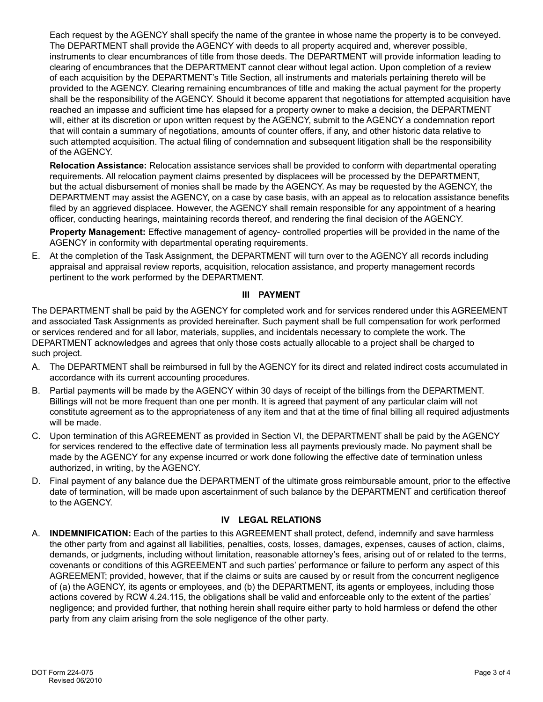Each request by the AGENCY shall specify the name of the grantee in whose name the property is to be conveyed. The DEPARTMENT shall provide the AGENCY with deeds to all property acquired and, wherever possible, instruments to clear encumbrances of title from those deeds. The DEPARTMENT will provide information leading to clearing of encumbrances that the DEPARTMENT cannot clear without legal action. Upon completion of a review of each acquisition by the DEPARTMENT's Title Section, all instruments and materials pertaining thereto will be provided to the AGENCY. Clearing remaining encumbrances of title and making the actual payment for the property shall be the responsibility of the AGENCY. Should it become apparent that negotiations for attempted acquisition have reached an impasse and sufficient time has elapsed for a property owner to make a decision, the DEPARTMENT will, either at its discretion or upon written request by the AGENCY, submit to the AGENCY a condemnation report that will contain a summary of negotiations, amounts of counter offers, if any, and other historic data relative to such attempted acquisition. The actual filing of condemnation and subsequent litigation shall be the responsibility of the AGENCY.

**Relocation Assistance:** Relocation assistance services shall be provided to conform with departmental operating requirements. All relocation payment claims presented by displacees will be processed by the DEPARTMENT, but the actual disbursement of monies shall be made by the AGENCY. As may be requested by the AGENCY, the DEPARTMENT may assist the AGENCY, on a case by case basis, with an appeal as to relocation assistance benefits filed by an aggrieved displacee. However, the AGENCY shall remain responsible for any appointment of a hearing officer, conducting hearings, maintaining records thereof, and rendering the final decision of the AGENCY.

**Property Management:** Effective management of agency- controlled properties will be provided in the name of the AGENCY in conformity with departmental operating requirements.

E. At the completion of the Task Assignment, the DEPARTMENT will turn over to the AGENCY all records including appraisal and appraisal review reports, acquisition, relocation assistance, and property management records pertinent to the work performed by the DEPARTMENT.

### **III PAYMENT**

The DEPARTMENT shall be paid by the AGENCY for completed work and for services rendered under this AGREEMENT and associated Task Assignments as provided hereinafter. Such payment shall be full compensation for work performed or services rendered and for all labor, materials, supplies, and incidentals necessary to complete the work. The DEPARTMENT acknowledges and agrees that only those costs actually allocable to a project shall be charged to such project.

- A. The DEPARTMENT shall be reimbursed in full by the AGENCY for its direct and related indirect costs accumulated in accordance with its current accounting procedures.
- B. Partial payments will be made by the AGENCY within 30 days of receipt of the billings from the DEPARTMENT. Billings will not be more frequent than one per month. It is agreed that payment of any particular claim will not constitute agreement as to the appropriateness of any item and that at the time of final billing all required adjustments will be made.
- C. Upon termination of this AGREEMENT as provided in Section VI, the DEPARTMENT shall be paid by the AGENCY for services rendered to the effective date of termination less all payments previously made. No payment shall be made by the AGENCY for any expense incurred or work done following the effective date of termination unless authorized, in writing, by the AGENCY.
- D. Final payment of any balance due the DEPARTMENT of the ultimate gross reimbursable amount, prior to the effective date of termination, will be made upon ascertainment of such balance by the DEPARTMENT and certification thereof to the AGENCY.

### **IV LEGAL RELATIONS**

A. **INDEMNIFICATION:** Each of the parties to this AGREEMENT shall protect, defend, indemnify and save harmless the other party from and against all liabilities, penalties, costs, losses, damages, expenses, causes of action, claims, demands, or judgments, including without limitation, reasonable attorney's fees, arising out of or related to the terms, covenants or conditions of this AGREEMENT and such parties' performance or failure to perform any aspect of this AGREEMENT; provided, however, that if the claims or suits are caused by or result from the concurrent negligence of (a) the AGENCY, its agents or employees, and (b) the DEPARTMENT, its agents or employees, including those actions covered by RCW 4.24.115, the obligations shall be valid and enforceable only to the extent of the parties' negligence; and provided further, that nothing herein shall require either party to hold harmless or defend the other party from any claim arising from the sole negligence of the other party.